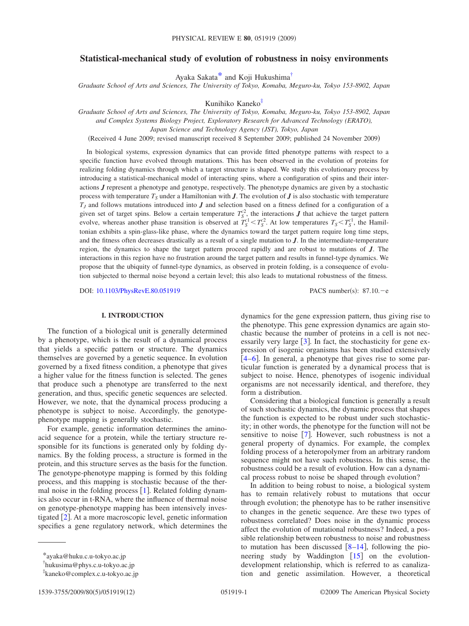# **Statistical-mechanical study of evolution of robustness in noisy environments**

Ayaka Sakat[a\\*](#page-0-0) and Koji Hukushim[a†](#page-0-1)

*Graduate School of Arts and Sciences, The University of Tokyo, Komaba, Meguro-ku, Tokyo 153-8902, Japan*

Kunihiko Kanek[o‡](#page-0-2)

*Graduate School of Arts and Sciences, The University of Tokyo, Komaba, Meguro-ku, Tokyo 153-8902, Japan*

*and Complex Systems Biology Project, Exploratory Research for Advanced Technology (ERATO),*

*Japan Science and Technology Agency (JST), Tokyo, Japan*

Received 4 June 2009; revised manuscript received 8 September 2009; published 24 November 2009-

In biological systems, expression dynamics that can provide fitted phenotype patterns with respect to a specific function have evolved through mutations. This has been observed in the evolution of proteins for realizing folding dynamics through which a target structure is shaped. We study this evolutionary process by introducing a statistical-mechanical model of interacting spins, where a configuration of spins and their interactions *J* represent a phenotype and genotype, respectively. The phenotype dynamics are given by a stochastic process with temperature  $T<sub>S</sub>$  under a Hamiltonian with *J*. The evolution of *J* is also stochastic with temperature  $T_J$  and follows mutations introduced into  $J$  and selection based on a fitness defined for a configuration of a given set of target spins. Below a certain temperature  $T_S^2$ , the interactions *J* that achieve the target pattern evolve, whereas another phase transition is observed at  $T_S^c \leq T_S^c$ . At low temperatures  $T_S \leq T_S^c$ , the Hamiltonian exhibits a spin-glass-like phase, where the dynamics toward the target pattern require long time steps, and the fitness often decreases drastically as a result of a single mutation to *J*. In the intermediate-temperature region, the dynamics to shape the target pattern proceed rapidly and are robust to mutations of *J*. The interactions in this region have no frustration around the target pattern and results in funnel-type dynamics. We propose that the ubiquity of funnel-type dynamics, as observed in protein folding, is a consequence of evolution subjected to thermal noise beyond a certain level; this also leads to mutational robustness of the fitness.

DOI: [10.1103/PhysRevE.80.051919](http://dx.doi.org/10.1103/PhysRevE.80.051919)

 $: 87.10 - e$ 

## **I. INTRODUCTION**

The function of a biological unit is generally determined by a phenotype, which is the result of a dynamical process that yields a specific pattern or structure. The dynamics themselves are governed by a genetic sequence. In evolution governed by a fixed fitness condition, a phenotype that gives a higher value for the fitness function is selected. The genes that produce such a phenotype are transferred to the next generation, and thus, specific genetic sequences are selected. However, we note, that the dynamical process producing a phenotype is subject to noise. Accordingly, the genotypephenotype mapping is generally stochastic.

For example, genetic information determines the aminoacid sequence for a protein, while the tertiary structure responsible for its functions is generated only by folding dynamics. By the folding process, a structure is formed in the protein, and this structure serves as the basis for the function. The genotype-phenotype mapping is formed by this folding process, and this mapping is stochastic because of the thermal noise in the folding process  $[1]$  $[1]$  $[1]$ . Related folding dynamics also occur in t-RNA, where the influence of thermal noise on genotype-phenotype mapping has been intensively investigated  $\left[2\right]$  $\left[2\right]$  $\left[2\right]$ . At a more macroscopic level, genetic information specifies a gene regulatory network, which determines the dynamics for the gene expression pattern, thus giving rise to the phenotype. This gene expression dynamics are again stochastic because the number of proteins in a cell is not necessarily very large  $\lceil 3 \rceil$  $\lceil 3 \rceil$  $\lceil 3 \rceil$ . In fact, the stochasticity for gene expression of isogenic organisms has been studied extensively  $[4-6]$  $[4-6]$  $[4-6]$ . In general, a phenotype that gives rise to some particular function is generated by a dynamical process that is subject to noise. Hence, phenotypes of isogenic individual organisms are not necessarily identical, and therefore, they form a distribution.

Considering that a biological function is generally a result of such stochastic dynamics, the dynamic process that shapes the function is expected to be robust under such stochasticity; in other words, the phenotype for the function will not be sensitive to noise  $[7]$  $[7]$  $[7]$ . However, such robustness is not a general property of dynamics. For example, the complex folding process of a heteropolymer from an arbitrary random sequence might not have such robustness. In this sense, the robustness could be a result of evolution. How can a dynamical process robust to noise be shaped through evolution?

In addition to being robust to noise, a biological system has to remain relatively robust to mutations that occur through evolution; the phenotype has to be rather insensitive to changes in the genetic sequence. Are these two types of robustness correlated? Does noise in the dynamic process affect the evolution of mutational robustness? Indeed, a possible relationship between robustness to noise and robustness to mutation has been discussed  $[8-14]$  $[8-14]$  $[8-14]$ , following the pioneering study by Waddington  $[15]$  $[15]$  $[15]$  on the evolutiondevelopment relationship, which is referred to as canalization and genetic assimilation. However, a theoretical

<span id="page-0-0"></span><sup>\*</sup>ayaka@huku.c.u-tokyo.ac.jp

<span id="page-0-1"></span><sup>†</sup> hukusima@phys.c.u-tokyo.ac.jp

<span id="page-0-2"></span><sup>‡</sup> kaneko@complex.c.u-tokyo.ac.jp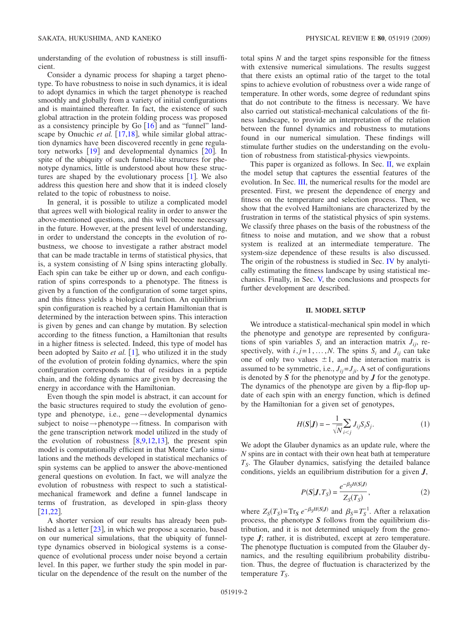understanding of the evolution of robustness is still insufficient.

Consider a dynamic process for shaping a target phenotype. To have robustness to noise in such dynamics, it is ideal to adopt dynamics in which the target phenotype is reached smoothly and globally from a variety of initial configurations and is maintained thereafter. In fact, the existence of such global attraction in the protein folding process was proposed as a consistency principle by Go  $[16]$  $[16]$  $[16]$  and as "funnel" landscape by Onuchic *et al.* [[17](#page-11-10)[,18](#page-11-11)], while similar global attraction dynamics have been discovered recently in gene regulatory networks  $\lceil 19 \rceil$  $\lceil 19 \rceil$  $\lceil 19 \rceil$  and developmental dynamics  $\lceil 20 \rceil$  $\lceil 20 \rceil$  $\lceil 20 \rceil$ . In spite of the ubiquity of such funnel-like structures for phenotype dynamics, little is understood about how these structures are shaped by the evolutionary process  $[1]$  $[1]$  $[1]$ . We also address this question here and show that it is indeed closely related to the topic of robustness to noise.

In general, it is possible to utilize a complicated model that agrees well with biological reality in order to answer the above-mentioned questions, and this will become necessary in the future. However, at the present level of understanding, in order to understand the concepts in the evolution of robustness, we choose to investigate a rather abstract model that can be made tractable in terms of statistical physics, that is, a system consisting of *N* Ising spins interacting globally. Each spin can take be either up or down, and each configuration of spins corresponds to a phenotype. The fitness is given by a function of the configuration of some target spins, and this fitness yields a biological function. An equilibrium spin configuration is reached by a certain Hamiltonian that is determined by the interaction between spins. This interaction is given by genes and can change by mutation. By selection according to the fitness function, a Hamiltonian that results in a higher fitness is selected. Indeed, this type of model has been adopted by Saito *et al.* [[1](#page-11-0)], who utilized it in the study of the evolution of protein folding dynamics, where the spin configuration corresponds to that of residues in a peptide chain, and the folding dynamics are given by decreasing the energy in accordance with the Hamiltonian.

Even though the spin model is abstract, it can account for the basic structures required to study the evolution of genotype and phenotype, i.e., gene→developmental dynamics subject to noise $\rightarrow$ phenotype $\rightarrow$ fitness. In comparison with the gene transcription network model utilized in the study of the evolution of robustness  $[8,9,12,13]$  $[8,9,12,13]$  $[8,9,12,13]$  $[8,9,12,13]$  $[8,9,12,13]$  $[8,9,12,13]$ , the present spin model is computationally efficient in that Monte Carlo simulations and the methods developed in statistical mechanics of spin systems can be applied to answer the above-mentioned general questions on evolution. In fact, we will analyze the evolution of robustness with respect to such a statisticalmechanical framework and define a funnel landscape in terms of frustration, as developed in spin-glass theory  $[21,22]$  $[21,22]$  $[21,22]$  $[21,22]$ .

A shorter version of our results has already been published as a letter  $[23]$  $[23]$  $[23]$ , in which we propose a scenario, based on our numerical simulations, that the ubiquity of funneltype dynamics observed in biological systems is a consequence of evolutional process under noise beyond a certain level. In this paper, we further study the spin model in particular on the dependence of the result on the number of the total spins *N* and the target spins responsible for the fitness with extensive numerical simulations. The results suggest that there exists an optimal ratio of the target to the total spins to achieve evolution of robustness over a wide range of temperature. In other words, some degree of redundant spins that do not contribute to the fitness is necessary. We have also carried out statistical-mechanical calculations of the fitness landscape, to provide an interpretation of the relation between the funnel dynamics and robustness to mutations found in our numerical simulation. These findings will stimulate further studies on the understanding on the evolution of robustness from statistical-physics viewpoints.

This paper is organized as follows. In Sec. [II,](#page-1-0) we explain the model setup that captures the essential features of the evolution. In Sec. [III,](#page-2-0) the numerical results for the model are presented. First, we present the dependence of energy and fitness on the temperature and selection process. Then, we show that the evolved Hamiltonians are characterized by the frustration in terms of the statistical physics of spin systems. We classify three phases on the basis of the robustness of the fitness to noise and mutation, and we show that a robust system is realized at an intermediate temperature. The system-size dependence of these results is also discussed. The origin of the robustness is studied in Sec. [IV](#page-7-0) by analytically estimating the fitness landscape by using statistical mechanics. Finally, in Sec. [V,](#page-10-0) the conclusions and prospects for further development are described.

## **II. MODEL SETUP**

<span id="page-1-0"></span>We introduce a statistical-mechanical spin model in which the phenotype and genotype are represented by configurations of spin variables  $S_i$  and an interaction matrix  $J_{ii}$ , respectively, with  $i, j = 1, ..., N$ . The spins  $S_i$  and  $J_{ij}$  can take one of only two values  $\pm 1$ , and the interaction matrix is assumed to be symmetric, i.e.,  $J_{ii} = J_{ii}$ . A set of configurations is denoted by *S* for the phenotype and by *J* for the genotype. The dynamics of the phenotype are given by a flip-flop update of each spin with an energy function, which is defined by the Hamiltonian for a given set of genotypes,

$$
H(\mathbf{S}|\mathbf{J}) = -\frac{1}{\sqrt{N}} \sum_{i < j} J_{ij} S_i S_j. \tag{1}
$$

<span id="page-1-1"></span>We adopt the Glauber dynamics as an update rule, where the *N* spins are in contact with their own heat bath at temperature *TS*. The Glauber dynamics, satisfying the detailed balance conditions, yields an equilibrium distribution for a given *J*,

$$
P(S|J,T_S) = \frac{e^{-\beta_S H(S|J)}}{Z_S(T_S)},
$$
\n(2)

where  $Z_S(T_S) = Tr_S e^{-\beta_S H(S|J)}$  and  $\beta_S = T_S^{-1}$ . After a relaxation process, the phenotype *S* follows from the equilibrium distribution, and it is not determined uniquely from the genotype *J*; rather, it is distributed, except at zero temperature. The phenotype fluctuation is computed from the Glauber dynamics, and the resulting equilibrium probability distribution. Thus, the degree of fluctuation is characterized by the temperature  $T<sub>S</sub>$ .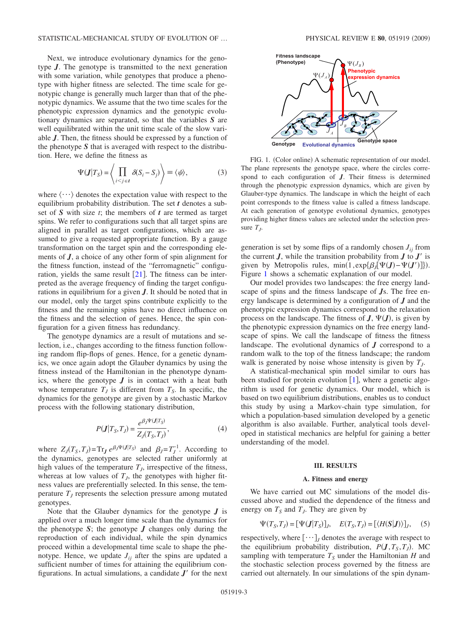Next, we introduce evolutionary dynamics for the genotype *J*. The genotype is transmitted to the next generation with some variation, while genotypes that produce a phenotype with higher fitness are selected. The time scale for genotypic change is generally much larger than that of the phenotypic dynamics. We assume that the two time scales for the phenotypic expression dynamics and the genotypic evolutionary dynamics are separated, so that the variables *S* are well equilibrated within the unit time scale of the slow variable *J*. Then, the fitness should be expressed by a function of the phenotype *S* that is averaged with respect to the distribution. Here, we define the fitness as

$$
\Psi(\mathbf{J}|T_{S}) = \left\langle \prod_{i < j \in \mathbf{I}} \delta(S_{i} - S_{j}) \right\rangle \equiv \langle \psi \rangle, \tag{3}
$$

where  $\langle \cdots \rangle$  denotes the expectation value with respect to the equilibrium probability distribution. The set *t* denotes a subset of *S* with size *t*; the members of *t* are termed as target spins. We refer to configurations such that all target spins are aligned in parallel as target configurations, which are assumed to give a requested appropriate function. By a gauge transformation on the target spin and the corresponding elements of *J*, a choice of any other form of spin alignment for the fitness function, instead of the "ferromagnetic" configuration, yields the same result  $[21]$  $[21]$  $[21]$ . The fitness can be interpreted as the average frequency of finding the target configurations in equilibrium for a given *J*. It should be noted that in our model, only the target spins contribute explicitly to the fitness and the remaining spins have no direct influence on the fitness and the selection of genes. Hence, the spin configuration for a given fitness has redundancy.

The genotype dynamics are a result of mutations and selection, i.e., changes according to the fitness function following random flip-flops of genes. Hence, for a genetic dynamics, we once again adopt the Glauber dynamics by using the fitness instead of the Hamiltonian in the phenotype dynamics, where the genotype  $J$  is in contact with a heat bath whose temperature  $T<sub>J</sub>$  is different from  $T<sub>S</sub>$ . In specific, the dynamics for the genotype are given by a stochastic Markov process with the following stationary distribution,

$$
P(J|T_{S},T_{J}) = \frac{e^{\beta_{J} \Psi(J|T_{S})}}{Z_{J}(T_{S},T_{J})},
$$
\n(4)

where  $Z_J(T_S, T_J) = \text{Tr}_J e^{\beta_J \Psi(J|T_S)}$  and  $\beta_J = T_J^{-1}$ . According to the dynamics, genotypes are selected rather uniformly at high values of the temperature  $T<sub>J</sub>$ , irrespective of the fitness, whereas at low values of  $T<sub>J</sub>$ , the genotypes with higher fitness values are preferentially selected. In this sense, the temperature  $T_J$  represents the selection pressure among mutated genotypes.

Note that the Glauber dynamics for the genotype *J* is applied over a much longer time scale than the dynamics for the phenotype *S*; the genotype *J* changes only during the reproduction of each individual, while the spin dynamics proceed within a developmental time scale to shape the phenotype. Hence, we update  $J_{ij}$  after the spins are updated a sufficient number of times for attaining the equilibrium configurations. In actual simulations, a candidate  $J'$  for the next

<span id="page-2-1"></span>

FIG. 1. (Color online) A schematic representation of our model. The plane represents the genotype space, where the circles correspond to each configuration of *J*. Their fitness is determined through the phenotypic expression dynamics, which are given by Glauber-type dynamics. The landscape in which the height of each point corresponds to the fitness value is called a fitness landscape. At each generation of genotype evolutional dynamics, genotypes providing higher fitness values are selected under the selection pressure  $T<sub>I</sub>$ .

generation is set by some flips of a randomly chosen  $J_{ii}$  from the current  $J$ , while the transition probability from  $J$  to  $J'$  is given by Metropolis rules,  $min(1, exp{\{\beta_{j}[\Psi(\bm{J}) - \Psi(\bm{J}')]\}}).$ Figure [1](#page-2-1) shows a schematic explanation of our model.

Our model provides two landscapes: the free energy landscape of spins and the fitness landscape of *J*s. The free energy landscape is determined by a configuration of *J* and the phenotypic expression dynamics correspond to the relaxation process on the landscape. The fitness of  $J$ ,  $\Psi(J)$ , is given by the phenotypic expression dynamics on the free energy landscape of spins. We call the landscape of fitness the fitness landscape. The evolutional dynamics of *J* correspond to a random walk to the top of the fitness landscape; the random walk is generated by noise whose intensity is given by  $T<sub>J</sub>$ .

A statistical-mechanical spin model similar to ours has been studied for protein evolution  $[1]$  $[1]$  $[1]$ , where a genetic algorithm is used for genetic dynamics. Our model, which is based on two equilibrium distributions, enables us to conduct this study by using a Markov-chain type simulation, for which a population-based simulation developed by a genetic algorithm is also available. Further, analytical tools developed in statistical mechanics are helpful for gaining a better understanding of the model.

#### **III. RESULTS**

#### **A. Fitness and energy**

<span id="page-2-0"></span>We have carried out MC simulations of the model discussed above and studied the dependence of the fitness and energy on  $T<sub>S</sub>$  and  $T<sub>J</sub>$ . They are given by

$$
\Psi(T_S, T_J) = [\Psi(\mathbf{J}|T_S)]_J, \quad E(T_S, T_J) = [\langle H(S|\mathbf{J}) \rangle]_J, \quad (5)
$$

<span id="page-2-2"></span>respectively, where  $[\cdots]_J$  denotes the average with respect to the equilibrium probability distribution,  $P(J, T_S, T_J)$ . MC sampling with temperature  $T<sub>S</sub>$  under the Hamiltonian *H* and the stochastic selection process governed by the fitness are carried out alternately. In our simulations of the spin dynam-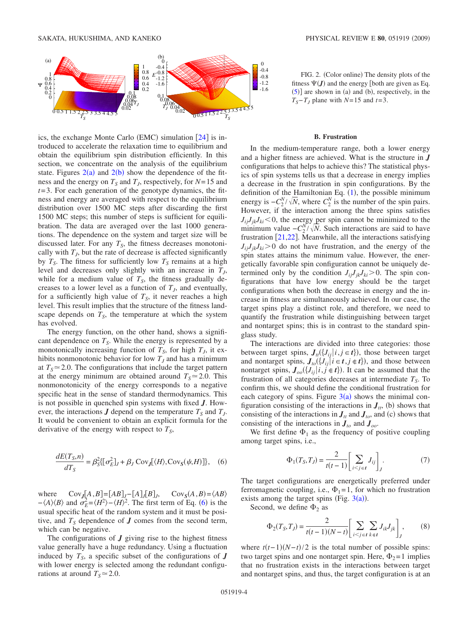<span id="page-3-0"></span>

ics, the exchange Monte Carlo (EMC) simulation [[24](#page-11-20)] is introduced to accelerate the relaxation time to equilibrium and obtain the equilibrium spin distribution efficiently. In this section, we concentrate on the analysis of the equilibrium state. Figures  $2(a)$  $2(a)$  and  $2(b)$  show the dependence of the fitness and the energy on  $T<sub>S</sub>$  and  $T<sub>J</sub>$ , respectively, for  $N=15$  and *t*=3. For each generation of the genotype dynamics, the fitness and energy are averaged with respect to the equilibrium distribution over 1500 MC steps after discarding the first 1500 MC steps; this number of steps is sufficient for equilibration. The data are averaged over the last 1000 generations. The dependence on the system and target size will be discussed later. For any  $T<sub>S</sub>$ , the fitness decreases monotonically with  $T<sub>J</sub>$ , but the rate of decrease is affected significantly by  $T_S$ . The fitness for sufficiently low  $T_S$  remains at a high level and decreases only slightly with an increase in  $T<sub>J</sub>$ , while for a medium value of  $T<sub>S</sub>$ , the fitness gradually decreases to a lower level as a function of  $T_J$ , and eventually, for a sufficiently high value of  $T<sub>S</sub>$ , it never reaches a high level. This result implies that the structure of the fitness landscape depends on  $T<sub>S</sub>$ , the temperature at which the system has evolved.

The energy function, on the other hand, shows a significant dependence on  $T<sub>S</sub>$ . While the energy is represented by a monotonically increasing function of  $T_S$ , for high  $T_J$ , it exhibits nonmonotonic behavior for low  $T_J$  and has a minimum at  $T_s \approx 2.0$ . The configurations that include the target pattern at the energy minimum are obtained around  $T_s \approx 2.0$ . This nonmonotonicity of the energy corresponds to a negative specific heat in the sense of standard thermodynamics. This is not possible in quenched spin systems with fixed *J*. However, the interactions  $J$  depend on the temperature  $T_S$  and  $T_J$ . It would be convenient to obtain an explicit formula for the derivative of the energy with respect to  $T<sub>S</sub>$ ,

<span id="page-3-1"></span>
$$
\frac{dE(T_S, n)}{dT_S} = \beta_S^2 \left[ \sigma_E^2 \right]_J + \beta_J \text{Cov}_J \left[ \langle H \rangle, \text{Cov}_S(\psi, H) \right] \}, \quad (6)
$$

where  $Cov_J[A, B] = [AB]_J - [A]_J[B]_J$ ,  $Cov_S(A, B) = \langle AB \rangle$  $-\langle A \rangle \langle B \rangle$  and  $\sigma_E^2 = \langle H^2 \rangle - \langle H \rangle^2$ . The first term of Eq. ([6](#page-3-1)) is the usual specific heat of the random system and it must be positive, and  $T<sub>S</sub>$  dependence of  $J$  comes from the second term, which can be negative.

The configurations of  $J$  giving rise to the highest fitness value generally have a huge redundancy. Using a fluctuation induced by  $T<sub>S</sub>$ , a specific subset of the configurations of *J* with lower energy is selected among the redundant configurations at around  $T_s \approx 2.0$ .

FIG. 2. (Color online) The density plots of the fitness  $\Psi(\mathbf{J})$  and the energy [both are given as Eq.  $(5)$  $(5)$  $(5)$ ] are shown in (a) and (b), respectively, in the  $T_S - T_J$  plane with *N*=15 and *t*=3.

#### **B. Frustration**

In the medium-temperature range, both a lower energy and a higher fitness are achieved. What is the structure in *J* configurations that helps to achieve this? The statistical physics of spin systems tells us that a decrease in energy implies a decrease in the frustration in spin configurations. By the definition of the Hamiltonian Eq.  $(1)$  $(1)$  $(1)$ , the possible minimum energy is  $-C_2^N/\sqrt{N}$ , where  $C_2^N$  is the number of the spin pairs. However, if the interaction among the three spins satisfies  $J_{ij}J_{jk}J_{ki}$  < 0, the energy per spin cannot be minimized to the minimum value  $-C_2^N/\sqrt{N}$ . Such interactions are said to have frustration  $[21,22]$  $[21,22]$  $[21,22]$  $[21,22]$ . Meanwhile, all the interactions satisfying  $J_{ii}J_{ik}J_{ki}$  > 0 do not have frustration, and the energy of the spin states attains the minimum value. However, the energetically favorable spin configuration cannot be uniquely determined only by the condition  $J_{ij}J_{jk}J_{ki}$  > 0. The spin configurations that have low energy should be the target configurations when both the decrease in energy and the increase in fitness are simultaneously achieved. In our case, the target spins play a distinct role, and therefore, we need to quantify the frustration while distinguishing between target and nontarget spins; this is in contrast to the standard spinglass study.

The interactions are divided into three categories: those between target spins,  $J_{tt}(\lbrace J_{ij} | i, j \in t \rbrace)$ , those between target and nontarget spins,  $J_{to}(\lbrace J_{ij} | i \in t, j \notin t \rbrace)$ , and those between nontarget spins,  $J_{oo}(\lbrace J_{ij} | i, j \notin t \rbrace)$ . It can be assumed that the frustration of all categories decreases at intermediate  $T<sub>S</sub>$ . To confirm this, we should define the conditional frustration for each category of spins. Figure  $3(a)$  $3(a)$  shows the minimal configuration consisting of the interactions in  $J_{tt}$ , (b) shows that consisting of the interactions in  $J_t$  and  $J_{to}$ , and (c) shows that consisting of the interactions in  $J_{to}$  and  $J_{oo}$ .

We first define  $\Phi_1$  as the frequency of positive coupling among target spins, i.e.,

$$
\Phi_1(T_S, T_J) = \frac{2}{t(t-1)} \left[ \sum_{i < j \in I} J_{ij} \right]_J. \tag{7}
$$

The target configurations are energetically preferred under ferromagnetic coupling, i.e.,  $\Phi_1 = 1$ , for which no frustration exists among the target spins (Fig.  $3(a)$  $3(a)$ ).

Second, we define  $\Phi_2$  as

$$
\Phi_2(T_S, T_J) = \frac{2}{t(t-1)(N-t)} \left[ \sum_{i < j \in t} \sum_{k \in t} J_{ik} J_{jk} \right]_J, \tag{8}
$$

where  $t(t-1)(N-t)/2$  is the total number of possible spins: two target spins and one nontarget spin. Here,  $\Phi_2 = 1$  implies that no frustration exists in the interactions between target and nontarget spins, and thus, the target configuration is at an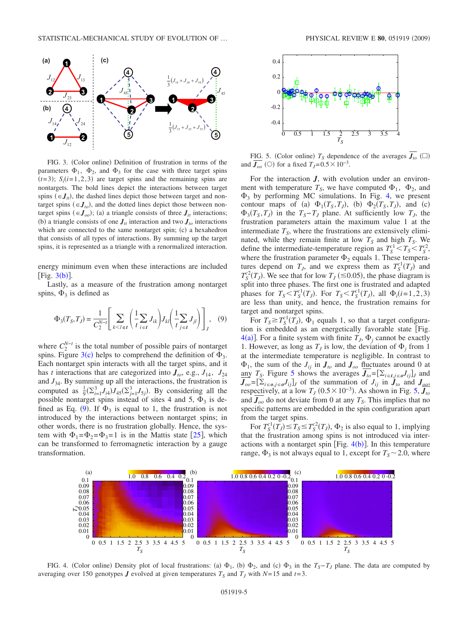<span id="page-4-0"></span>

FIG. 3. (Color online) Definition of frustration in terms of the parameters  $\Phi_1$ ,  $\Phi_2$ , and  $\Phi_3$  for the case with three target spins  $(t=3)$ ;  $S_i(t=1,2,3)$  are target spins and the remaining spins are nontargets. The bold lines depict the interactions between target spins  $(\epsilon J_t)$ , the dashed lines depict those between target and nontarget spins  $(\epsilon J_{to})$ , and the dotted lines depict those between nontarget spins  $(\epsilon J_{oo})$ ; (a) a triangle consists of three  $J_{tt}$  interactions; (b) a triangle consists of one  $J_t$  interaction and two  $J_t$  interactions which are connected to the same nontarget spin; (c) a hexahedron that consists of all types of interactions. By summing up the target spins, it is represented as a triangle with a renormalized interaction.

energy minimum even when these interactions are included [Fig.  $3(b)$  $3(b)$ ].

Lastly, as a measure of the frustration among nontarget spins,  $\Phi_3$  is defined as

<span id="page-4-1"></span>
$$
\Phi_3(T_S, T_J) = \frac{1}{C_2^{N-t}} \left[ \sum_{k < l \in t} \left( \frac{1}{t} \sum_{i \in t} J_{ik} \right) J_{kl} \left( \frac{1}{t} \sum_{j \in t} J_{jl} \right) \right]_J, \quad (9)
$$

where  $C_2^{N-t}$  is the total number of possible pairs of nontarget spins. Figure [3](#page-4-0)(c) helps to comprehend the definition of  $\Phi_3$ . Each nontarget spin interacts with all the target spins, and it has *t* interactions that are categorized into  $J_{to}$ , e.g.,  $J_{14}$ ,  $J_{24}$ and  $J_{34}$ . By summing up all the interactions, the frustration is computed as  $\frac{1}{9} \left( \sum_{i=1}^{3} J_{i4} \right) J_{45} \left( \sum_{j=1}^{3} J_{5j} \right)$ . By considering all the possible nontarget spins instead of sites 4 and 5,  $\Phi_3$  is de-fined as Eq. ([9](#page-4-1)). If  $\Phi_3$  is equal to 1, the frustration is not introduced by the interactions between nontarget spins; in other words, there is no frustration globally. Hence, the system with  $\Phi_1 = \Phi_2 = \Phi_3 = 1$  is in the Mattis state [[25](#page-11-21)], which can be transformed to ferromagnetic interaction by a gauge transformation.

<span id="page-4-3"></span>

FIG. 5. (Color online)  $T_s$  dependence of the averages  $J_{to}$  ( $\square$ ) and  $J_{oo}$  (○) for a fixed  $T_J=0.5\times10^{-3}$ .

For the interaction *J*, with evolution under an environment with temperature  $T_s$ , we have computed  $\Phi_1$ ,  $\Phi_2$ , and  $\Phi_3$  by performing MC simulations. In Fig. [4,](#page-4-2) we present contour maps of (a)  $\Phi_1(T_S, T_J)$ , (b)  $\Phi_2(T_S, T_J)$ , and (c)  $\Phi_3(T_S, T_J)$  in the  $T_S - T_J$  plane. At sufficiently low  $T_J$ , the frustration parameters attain the maximum value 1 at the intermediate  $T<sub>S</sub>$ , where the frustrations are extensively eliminated, while they remain finite at low  $T<sub>S</sub>$  and high  $T<sub>S</sub>$ . We define the intermediate-temperature region as  $T_S^{c1} < T_S < T_S^{c2}$ , where the frustration parameter  $\Phi_2$  equals 1. These temperatures depend on  $T_J$ , and we express them as  $T_S^{c1}(T_J)$  and  $T_S^2(T_J)$ . We see that for low  $T_J \approx 0.05$ , the phase diagram is split into three phases. The first one is frustrated and adapted phases for  $T_s < T_S^{\text{cl}}(T_j)$ . For  $T_s < T_S^{\text{cl}}(T_j)$ , all  $\Phi_i(i=1,2,3)$ are less than unity, and hence, the frustration remains for target and nontarget spins.

For  $T_s \geq T_s^{\text{cl}}(T_J)$ ,  $\Phi_1$  equals 1, so that a target configuration is embedded as an energetically favorable state Fig.  $4(a)$  $4(a)$ ]. For a finite system with finite  $T_J$ ,  $\Phi_j$  cannot be exactly 1. However, as long as  $T_j$  is low, the deviation of  $\Phi_j$  from 1 at the intermediate temperature is negligible. In contrast to  $\Phi_1$ , the sum of the  $J_{ij}$  in  $J_{to}$  and  $J_{oo}$  fluctuates around 0 at any *T<sub>S</sub>*. Figure [5](#page-4-3) shows the averages  $J_{to} = [\sum_{i \in t, j \in \mathcal{O}} J_{ij}]_J$  and  $J_{oo} = [\sum_{i \in \mathcal{O}, j \in \mathcal{O}} J_{ij}]$  of the summation of  $J_{ij}$  in  $J_{to}$  and  $J_{oo}$ , respectively, at a low  $T_J$  (0.5 × 10<sup>-3</sup>). As shown in Fig. [5,](#page-4-3)  $J_{to}$ and  $J_{oo}$  do not deviate from 0 at any  $T_S$ . This implies that no specific patterns are embedded in the spin configuration apart from the target spins.

For  $T_S^{c1}(T_J) \le T_S \le T_S^{c2}(T_J)$ ,  $\Phi_2$  is also equal to 1, implying that the frustration among spins is not introduced via interactions with a nontarget spin [Fig.  $4(b)$  $4(b)$ ]. In this temperature range,  $\Phi_3$  is not always equal to 1, except for  $T_s \sim 2.0$ , where

<span id="page-4-2"></span>

FIG. 4. (Color online) Density plot of local frustrations: (a)  $\Phi_1$ , (b)  $\Phi_2$ , and (c)  $\Phi_3$  in the  $T_S-T_J$  plane. The data are computed by averaging over 150 genotypes *J* evolved at given temperatures  $T_S$  and  $T_J$  with  $N=15$  and  $t=3$ .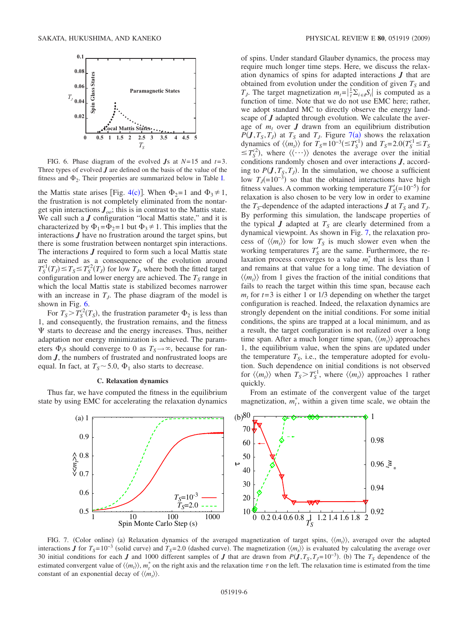<span id="page-5-0"></span>

FIG. 6. Phase diagram of the evolved *J*s at *N*=15 and *t*=3. Three types of evolved *J* are defined on the basis of the value of the fitness and  $\Phi_2$ . Their properties are summarized below in Table [I.](#page-6-0)

the Mattis state arises [Fig. [4](#page-4-2)(c)]. When  $\Phi_2 = 1$  and  $\Phi_3 \neq 1$ , the frustration is not completely eliminated from the nontarget spin interactions  $J_{oo}$ ; this is in contrast to the Mattis state. We call such a *J* configuration "local Mattis state," and it is characterized by  $\Phi_1 = \Phi_2 = 1$  but  $\Phi_3 \neq 1$ . This implies that the interactions *J* have no frustration around the target spins, but there is some frustration between nontarget spin interactions. The interactions *J* required to form such a local Mattis state are obtained as a consequence of the evolution around  $T_S^{\text{cl}}(T_J) \leq T_S \leq T_S^{\text{cl}}(T_J)$  for low  $T_J$ , where both the fitted target configuration and lower energy are achieved. The  $T<sub>S</sub>$  range in which the local Mattis state is stabilized becomes narrower with an increase in  $T<sub>J</sub>$ . The phase diagram of the model is shown in Fig. [6.](#page-5-0)

For  $T_s > T_s^2(T_s)$ , the frustration parameter  $\Phi_2$  is less than 1, and consequently, the frustration remains, and the fitness  $\Psi$  starts to decrease and the energy increases. Thus, neither adaptation nor energy minimization is achieved. The parameters  $\Phi_i$ s should converge to 0 as  $T_s \rightarrow \infty$ , because for random *J*, the numbers of frustrated and nonfrustrated loops are equal. In fact, at  $T_s \sim 5.0$ ,  $\Phi_1$  also starts to decrease.

### **C. Relaxation dynamics**

<span id="page-5-1"></span>Thus far, we have computed the fitness in the equilibrium state by using EMC for accelerating the relaxation dynamics

of spins. Under standard Glauber dynamics, the process may require much longer time steps. Here, we discuss the relaxation dynamics of spins for adapted interactions *J* that are obtained from evolution under the condition of given  $T<sub>S</sub>$  and *T<sub>J</sub>*. The target magnetization  $m_t = \left|\frac{1}{t}\sum_{i \in I}S_i\right|$  is computed as a function of time. Note that we do not use EMC here; rather, we adopt standard MC to directly observe the energy landscape of *J* adapted through evolution. We calculate the average of  $m_t$  over  $J$  drawn from an equilibrium distribution  $P(\textbf{J}, T_S, T_J)$  at  $T_S$  and  $T_J$ . Figure [7](#page-5-1)(a) shows the relaxation dynamics of  $\langle \langle m_t \rangle \rangle$  for  $T_s = 10^{-3} (\leq T_S^{c1})$  and  $T_s = 2.0 (T_S^{c1} \leq T_S^{c2})$  $\leq T_S^{c2}$ , where  $\langle \langle \cdots \rangle \rangle$  denotes the average over the initial conditions randomly chosen and over interactions *J*, according to  $P(\mathbf{J}, T_{\mathbf{S}}, T_{\mathbf{J}})$ . In the simulation, we choose a sufficient low  $T<sub>J</sub>(=10<sup>-3</sup>)$  so that the obtained interactions have high fitness values. A common working temperature  $T'_{S}$ (=10<sup>-5</sup>) for relaxation is also chosen to be very low in order to examine the  $T_S$ -dependence of the adapted interactions  $J$  at  $T_S$  and  $T_J$ . By performing this simulation, the landscape properties of the typical  $J$  adapted at  $T<sub>S</sub>$  are clearly determined from a dynamical viewpoint. As shown in Fig. [7,](#page-5-1) the relaxation process of  $\langle\langle m_t \rangle\rangle$  for low  $T_s$  is much slower even when the working temperatures  $T'_{\rm S}$  are the same. Furthermore, the relaxation process converges to a value  $m_t^*$  that is less than 1 and remains at that value for a long time. The deviation of  $\langle\langle m_t \rangle\rangle$  from 1 gives the fraction of the initial conditions that fails to reach the target within this time span, because each  $m<sub>t</sub>$  for  $t=3$  is either 1 or 1/3 depending on whether the target configuration is reached. Indeed, the relaxation dynamics are strongly dependent on the initial conditions. For some initial conditions, the spins are trapped at a local minimum, and as a result, the target configuration is not realized over a long time span. After a much longer time span,  $\langle \langle m_t \rangle \rangle$  approaches 1, the equilibrium value, when the spins are updated under the temperature  $T<sub>s</sub>$ , i.e., the temperature adopted for evolution. Such dependence on initial conditions is not observed for  $\langle \langle m_t \rangle \rangle$  when  $T_s > T_s^{c_1}$ , where  $\langle \langle m_t \rangle \rangle$  approaches 1 rather quickly.

From an estimate of the convergent value of the target magnetization,  $m_t^*$ , within a given time scale, we obtain the



FIG. 7. (Color online) (a) Relaxation dynamics of the averaged magnetization of target spins,  $\langle\langle m_t\rangle\rangle$ , averaged over the adapted interactions *J* for  $T_s = 10^{-3}$  (solid curve) and  $T_s = 2.0$  (dashed curve). The magnetization  $\langle m_t \rangle$  is evaluated by calculating the average over 30 initial conditions for each *J* and 1000 different samples of *J* that are drawn from  $P(J, T_S, T_J=10^{-3})$ . (b) The  $T_S$  dependence of the estimated convergent value of  $\langle\langle m_t \rangle\rangle$ ,  $m_t^*$  on the right axis and the relaxation time  $\tau$  on the left. The relaxation time is estimated from the time constant of an exponential decay of  $\langle \langle m_t \rangle \rangle$ .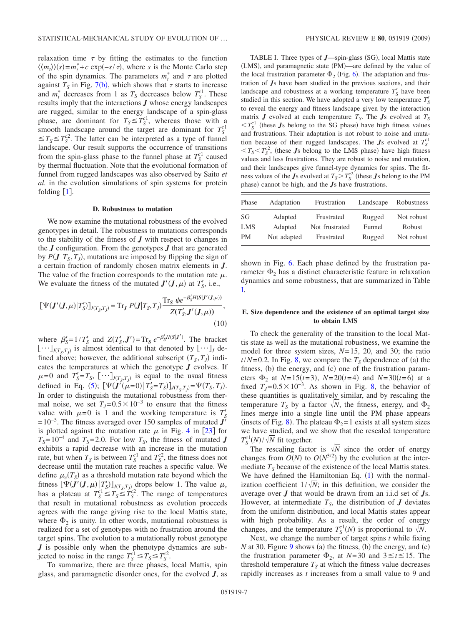relaxation time  $\tau$  by fitting the estimates to the function  $\langle\langle m_t \rangle\rangle$ (*s*)= $m_t^*$ +*c* exp(−*s*/ $\tau$ ), where *s* is the Monte Carlo step of the spin dynamics. The parameters  $m_t^*$  and  $\tau$  are plotted against  $T<sub>S</sub>$  in Fig. [7](#page-5-1)(b), which shows that  $\tau$  starts to increase and  $m_t^*$  decreases from 1 as  $T_S$  decreases below  $T_S^{c_1}$ . These results imply that the interactions *J* whose energy landscapes are rugged, similar to the energy landscape of a spin-glass phase, are dominant for  $T_s \leq T_s^{\text{cl}}$ , whereas those with a smooth landscape around the target are dominant for  $T_S^{\text{cl}}$  $\leq T_S \leq T_S^2$ . The latter can be interpreted as a type of funnel landscape. Our result supports the occurrence of transitions from the spin-glass phase to the funnel phase at  $T_S^{\text{cl}}$  caused by thermal fluctuation. Note that the evolutional formation of funnel from rugged landscapes was also observed by Saito *et al.* in the evolution simulations of spin systems for protein folding  $[1]$  $[1]$  $[1]$ .

#### **D. Robustness to mutation**

We now examine the mutational robustness of the evolved genotypes in detail. The robustness to mutations corresponds to the stability of the fitness of *J* with respect to changes in the *J* configuration. From the genotypes *J* that are generated by  $P(J | T_s, T_j)$ , mutations are imposed by flipping the sign of a certain fraction of randomly chosen matrix elements in *J*. The value of the fraction corresponds to the mutation rate  $\mu$ . We evaluate the fitness of the mutated  $J'(J,\mu)$  at  $T'_S$ , i.e.,

$$
\left[\Psi(\mathbf{J}'(\mathbf{J},\mu)|T'_{S})\right]_{J(T_{S},T_{J})} = \text{Tr}_{\mathbf{J}} P(\mathbf{J}|T_{S},T_{J}) \frac{\text{Tr}_{S} \psi e^{-\beta'_{S}H(S|\mathbf{J}'(\mathbf{J},\mu))}}{Z(T'_{S},\mathbf{J}'(\mathbf{J},\mu))},\tag{10}
$$

where  $\beta'_{S} = 1/T'_{S}$  and  $Z(T'_{S}, J') = Tr_{S} e^{-\beta'_{S}H(S|J')}$ . The bracket  $[\cdots]_{J(T_S,T_J)}$  is almost identical to that denoted by  $[\cdots]_J$  defined above; however, the additional subscript  $(T_S, T_J)$  indicates the temperatures at which the genotype *J* evolves. If  $\mu$ =0 and  $T'_{S}$ = $T_{S}$ ,  $[\cdots]_{J(T_{S},T_{J})}$  is equal to the usual fitness defined in Eq. ([5](#page-2-2));  $[\Psi(J'(\mu=0)|T'_S = T_S)]_{J(T_S,T_J)} = \Psi(T_S, T_J)$ . In order to distinguish the mutational robustness from thermal noise, we set  $T<sub>I</sub>=0.5\times10^{-3}$  to ensure that the fitness value with  $\mu=0$  is 1 and the working temperature is  $T'_{S}$  $=10^{-5}$ . The fitness averaged over 150 samples of mutated  $\vec{J}$ is plotted against the mutation rate  $\mu$  in Fig. [4](#page-4-2) in [[23](#page-11-19)] for  $T<sub>S</sub>=10<sup>-4</sup>$  and  $T<sub>S</sub>=2.0$ . For low  $T<sub>S</sub>$ , the fitness of mutated *J* exhibits a rapid decrease with an increase in the mutation rate, but when  $T_S$  is between  $T_S^{c1}$  and  $T_S^{c2}$ , the fitness does not decrease until the mutation rate reaches a specific value. We define  $\mu_c(T_s)$  as a threshold mutation rate beyond which the fitness  $[\Psi(\bm{J}'(\bm{J}, \mu) | T'_S]_{J(T_S, T_J)}]$  drops below 1. The value  $\mu_c$ has a plateau at  $T_S^{c1} \leq T_S \leq T_S^c$ . The range of temperatures that result in mutational robustness as evolution proceeds agrees with the range giving rise to the local Mattis state, where  $\Phi_2$  is unity. In other words, mutational robustness is realized for a set of genotypes with no frustration around the target spins. The evolution to a mutationally robust genotype *J* is possible only when the phenotype dynamics are subjected to noise in the range  $T_S^{c1} \le T_S \le T_S^{c2}$ .

To summarize, there are three phases, local Mattis, spin glass, and paramagnetic disorder ones, for the evolved *J*, as

<span id="page-6-0"></span>TABLE I. Three types of *J*—spin-glass (SG), local Mattis state (LMS), and paramagnetic state (PM)—are defined by the value of the local frustration parameter  $\Phi_2$  (Fig. [6](#page-5-0)). The adaptation and frustration of *J*s have been studied in the previous sections, and their landscape and robustness at a working temperature  $T_S$  have been studied in this section. We have adopted a very low temperature  $T'_{\mathcal{S}}$ to reveal the energy and fitness landscape given by the interaction matrix  $J$  evolved at each temperature  $T_S$ . The  $J_s$  evolved at  $T_S$  $\langle T_S^c \rangle$  (these *J*s belong to the SG phase) have high fitness values and frustrations. Their adaptation is not robust to noise and mutation because of their rugged landscapes. The *J*s evolved at  $T_S^{\text{cl}}$  $\langle T_s \rangle T_s^2$ , (these *J*s belong to the LMS phase) have high fitness values and less frustrations. They are robust to noise and mutation, and their landscapes give funnel-type dynamics for spins. The fitness values of the *J*s evolved at  $T_S > T_S^{c2}$  (these *J*s belong to the PM phase) cannot be high, and the *J*s have frustrations.

| Phase | Adaptation  | Frustration    | Landscape | Robustness |
|-------|-------------|----------------|-----------|------------|
| SG    | Adapted     | Frustrated     | Rugged    | Not robust |
| LMS   | Adapted     | Not frustrated | Funnel    | Robust     |
| PM    | Not adapted | Frustrated     | Rugged    | Not robust |

shown in Fig. [6.](#page-5-0) Each phase defined by the frustration parameter  $\Phi_2$  has a distinct characteristic feature in relaxation dynamics and some robustness, that are summarized in Table [I.](#page-6-0)

## **E. Size dependence and the existence of an optimal target size to obtain LMS**

To check the generality of the transition to the local Mattis state as well as the mutational robustness, we examine the model for three system sizes, *N*=15, 20, and 30; the ratio  $t/N = 0.2$ . In Fig. [8,](#page-7-1) we compare the  $T<sub>S</sub>$  dependence of (a) the fitness, (b) the energy, and (c) one of the frustration parameters  $\Phi_2$  at  $N=15(t=3)$ ,  $N=20(t=4)$  and  $N=30(t=6)$  at a fixed  $T_I = 0.5 \times 10^{-3}$ . As shown in Fig. [8,](#page-7-1) the behavior of these quantities is qualitatively similar, and by rescaling the temperature  $T_S$  by a factor  $\sqrt{N}$ , the fitness, energy, and  $\Phi_2$ lines merge into a single line until the PM phase appears (insets of Fig. [8](#page-7-1)). The plateau  $\Phi_2 = 1$  exists at all system sizes we have studied, and we show that the rescaled temperature  $T_S^{c1}(N)/\sqrt{N}$  fit together.

The rescaling factor is  $\sqrt{N}$  since the order of energy changes from  $O(N)$  to  $O(N^{3/2})$  by the evolution at the intermediate  $T<sub>S</sub>$  because of the existence of the local Mattis states. We have defined the Hamiltonian Eq.  $(1)$  $(1)$  $(1)$  with the normalization coefficient  $1/\sqrt{N}$ ; in this definition, we consider the average over *J* that would be drawn from an i.i.d set of *J*s. However, at intermediate  $T<sub>S</sub>$ , the distribution of  $J$  deviates from the uniform distribution, and local Mattis states appear with high probability. As a result, the order of energy changes, and the temperature  $T_S^{c1}(N)$  is proportional to  $\sqrt{N}$ .

Next, we change the number of target spins *t* while fixing  $N$  at 30. Figure [9](#page-7-2) shows (a) the fitness, (b) the energy, and (c) the frustration parameter  $\Phi_2$ , at *N*=30 and 3 ≤ *t* ≤ 15. The threshold temperature  $T<sub>S</sub>$  at which the fitness value decreases rapidly increases as *t* increases from a small value to 9 and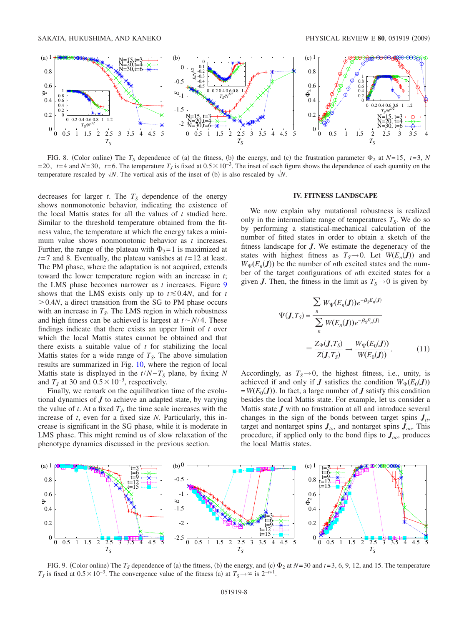<span id="page-7-1"></span>

FIG. 8. (Color online) The  $T_s$  dependence of (a) the fitness, (b) the energy, and (c) the frustration parameter  $\Phi_2$  at  $N=15$ ,  $t=3$ ,  $N$  $=$  20,  $t=$  4 and  $N=$  30,  $t=$  6. The temperature  $T<sub>I</sub>$  is fixed at  $0.5 \times 10^{-3}$ . The inset of each figure shows the dependence of each quantity on the temperature rescaled by  $\sqrt{N}$ . The vertical axis of the inset of (b) is also rescaled by  $\sqrt{N}$ .

decreases for larger  $t$ . The  $T<sub>S</sub>$  dependence of the energy shows nonmonotonic behavior, indicating the existence of the local Mattis states for all the values of *t* studied here. Similar to the threshold temperature obtained from the fitness value, the temperature at which the energy takes a minimum value shows nonmonotonic behavior as *t* increases. Further, the range of the plateau with  $\Phi_2 = 1$  is maximized at *t*=7 and 8. Eventually, the plateau vanishes at *t*=12 at least. The PM phase, where the adaptation is not acquired, extends toward the lower temperature region with an increase in *t*; the LMS phase becomes narrower as *t* increases. Figure [9](#page-7-2) shows that the LMS exists only up to  $t \le 0.4N$ , and for *t*  $> 0.4N$ , a direct transition from the SG to PM phase occurs with an increase in  $T<sub>S</sub>$ . The LMS region in which robustness and high fitness can be achieved is largest at  $t \sim N/4$ . These findings indicate that there exists an upper limit of *t* over which the local Mattis states cannot be obtained and that there exists a suitable value of *t* for stabilizing the local Mattis states for a wide range of  $T<sub>S</sub>$ . The above simulation results are summarized in Fig. [10,](#page-8-0) where the region of local Mattis state is displayed in the  $t/N-T<sub>S</sub>$  plane, by fixing N and  $T<sub>I</sub>$  at 30 and  $0.5 \times 10^{-3}$ , respectively.

Finally, we remark on the equilibration time of the evolutional dynamics of *J* to achieve an adapted state, by varying the value of *t*. At a fixed  $T<sub>J</sub>$ , the time scale increases with the increase of *t*, even for a fixed size *N*. Particularly, this increase is significant in the SG phase, while it is moderate in LMS phase. This might remind us of slow relaxation of the phenotype dynamics discussed in the previous section.

## **IV. FITNESS LANDSCAPE**

<span id="page-7-0"></span>We now explain why mutational robustness is realized only in the intermediate range of temperatures  $T<sub>S</sub>$ . We do so by performing a statistical-mechanical calculation of the number of fitted states in order to obtain a sketch of the fitness landscape for *J*. We estimate the degeneracy of the states with highest fitness as  $T_s \rightarrow 0$ . Let  $W(E_n(\mathbf{J}))$  and  $W_{\Psi}(E_n(\mathbf{J}))$  be the number of *n*th excited states and the number of the target configurations of *n*th excited states for a given *J*. Then, the fitness in the limit as  $T_s \rightarrow 0$  is given by

<span id="page-7-3"></span>
$$
\Psi(\mathbf{J},T_S) = \frac{\sum_{n} W_{\Psi}(E_n(\mathbf{J}))e^{-\beta_S E_n(\mathbf{J})}}{\sum_{n} W(E_n(\mathbf{J}))e^{-\beta_S E_n(\mathbf{J})}}
$$

$$
\equiv \frac{Z_{\Psi}(\mathbf{J},T_S)}{Z(\mathbf{J},T_S)} \rightarrow \frac{W_{\Psi}(E_0(\mathbf{J}))}{W(E_0(\mathbf{J}))}. \tag{11}
$$

Accordingly, as  $T_s \rightarrow 0$ , the highest fitness, i.e., unity, is achieved if and only if *J* satisfies the condition  $W_{\Psi}(E_0(\mathbf{J}))$  $=$  *W*(*E*<sub>0</sub>(*J*)). In fact, a large number of *J* satisfy this condition besides the local Mattis state. For example, let us consider a Mattis state *J* with no frustration at all and introduce several changes in the sign of the bonds between target spins  $J_{tt}$ , target and nontarget spins  $J_{to}$ , and nontarget spins  $J_{oo}$ . This procedure, if applied only to the bond flips to  $J_{oo}$ , produces the local Mattis states.

<span id="page-7-2"></span>

FIG. 9. (Color online) The  $T_s$  dependence of (a) the fitness, (b) the energy, and (c)  $\Phi_2$  at  $N=30$  and  $t=3, 6, 9, 12$ , and 15. The temperature *T<sub>J</sub>* is fixed at  $0.5 \times 10^{-3}$ . The convergence value of the fitness (a) at  $T_s \rightarrow \infty$  is  $2^{-t+1}$ .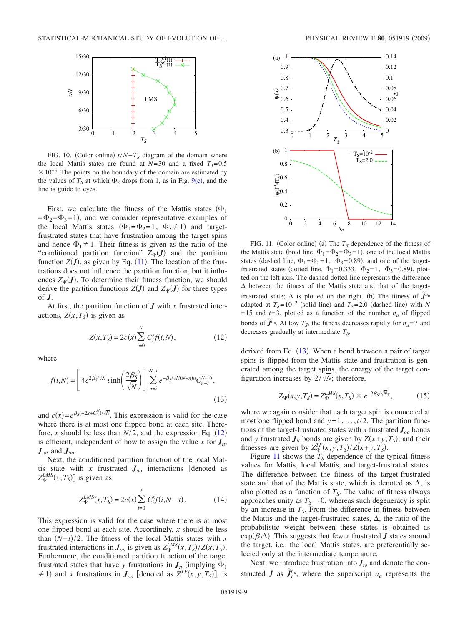<span id="page-8-0"></span>

FIG. 10. (Color online)  $t/N - T_S$  diagram of the domain where the local Mattis states are found at  $N=30$  and a fixed  $T<sub>I</sub>=0.5$  $\times 10^{-3}$ . The points on the boundary of the domain are estimated by the values of  $T<sub>S</sub>$  at which  $\Phi_2$  drops from 1, as in Fig. [9](#page-7-2)(c), and the line is guide to eyes.

First, we calculate the fitness of the Mattis states  $(\Phi_1)$  $=\Phi_2 = \Phi_3 = 1$ , and we consider representative examples of the local Mattis states  $(\Phi_1 = \Phi_2 = 1, \Phi_3 \neq 1)$  and targetfrustrated states that have frustration among the target spins and hence  $\Phi_1 \neq 1$ . Their fitness is given as the ratio of the "conditioned partition function"  $Z_{\Psi}(J)$  and the partition function  $Z(\mathbf{J})$ , as given by Eq. ([11](#page-7-3)). The location of the frustrations does not influence the partition function, but it influences  $Z_{\Psi}(\boldsymbol{J})$ . To determine their fitness function, we should derive the partition functions  $Z(\boldsymbol{J})$  and  $Z_{\Psi}(\boldsymbol{J})$  for three types of *J*.

<span id="page-8-1"></span>At first, the partition function of *J* with *x* frustrated interactions,  $Z(x, T_s)$  is given as

$$
Z(x, T_s) = 2c(x) \sum_{i=0}^{x} C_i^x f(i, N),
$$
 (12)

where

<span id="page-8-2"></span>
$$
f(i,N) = \left[ 4e^{2\beta_S/\sqrt{N}} \sinh\left(\frac{2\beta_S}{\sqrt{N}}\right) \right] \sum_{n=i}^{i^{N-i}} e^{-\beta_S/\sqrt{N}(N-n)n} C_{n-i}^{N-2i},\tag{13}
$$

and  $c(x) = e^{\beta s(-2x+C_2^N)/\sqrt{N}}$ . This expression is valid for the case where there is at most one flipped bond at each site. Therefore, *x* should be less than  $N/2$ , and the expression Eq. ([12](#page-8-1)) is efficient, independent of how to assign the value  $x$  for  $J_t$ , *Jto*, and *Joo*.

Next, the conditioned partition function of the local Mattis state with *x* frustrated  $J_{oo}$  interactions [denoted as  $Z_{\Psi}^{LMS}(x, T_S)$ ] is given as

$$
Z_{\Psi}^{LMS}(x, T_S) = 2c(x) \sum_{i=0}^{x} C_i^{x} f(i, N - t).
$$
 (14)

<span id="page-8-4"></span>This expression is valid for the case where there is at most one flipped bond at each site. Accordingly, *x* should be less than  $(N-t)/2$ . The fitness of the local Mattis states with *x* frustrated interactions in  $J_{oo}$  is given as  $Z_{\Psi}^{LMS}(x, T_S)/Z(x, T_S)$ . Furthermore, the conditioned partition function of the target frustrated states that have *y* frustrations in  $J_{tt}$  (implying  $\Phi_1$  $\neq$  1) and *x* frustrations in  $J_{oo}$  [denoted as  $Z^{TF}(x, y, T_S)$ ], is

<span id="page-8-3"></span>

FIG. 11. (Color online) (a) The  $T<sub>S</sub>$  dependence of the fitness of the Mattis state (bold line,  $\Phi_1 = \Phi_2 = \Phi_3 = 1$ ), one of the local Mattis states (dashed line,  $\Phi_1 = \Phi_2 = 1$ ,  $\Phi_3 = 0.89$ ), and one of the targetfrustrated states (dotted line,  $\Phi_1 = 0.333$ ,  $\Phi_2 = 1$ ,  $\Phi_3 = 0.89$ ), plotted on the left axis. The dashed-dotted line represents the difference  $\Delta$  between the fitness of the Mattis state and that of the targetfrustrated state;  $\Delta$  is plotted on the right. (b) The fitness of  $\tilde{J}^{n_a}$ adapted at  $T_s = 10^{-2}$  (solid line) and  $T_s = 2.0$  (dashed line) with *N*  $=15$  and  $t=3$ , plotted as a function of the number  $n_a$  of flipped bonds of  $\tilde{J}^{n_a}$ . At low  $T_s$ , the fitness decreases rapidly for  $n_a = 7$  and decreases gradually at intermediate *TS*.

derived from Eq.  $(13)$  $(13)$  $(13)$ . When a bond between a pair of target spins is flipped from the Mattis state and frustration is generated among the target spins, the energy of the target configuration increases by  $2/\sqrt{N}$ ; therefore,

$$
Z_{\Psi}(x, y, T_S) = Z_{\Psi}^{LMS}(x, T_S) \times e^{-2\beta_S/\overline{N}y},\tag{15}
$$

where we again consider that each target spin is connected at most one flipped bond and  $y=1,\ldots,t/2$ . The partition functions of the target-frustrated states with *x* frustrated *Joo* bonds and *y* frustrated  $J_t$  bonds are given by  $Z(x+y, T_s)$ , and their fitnesses are given by  $Z_{\Psi}^{TF}(x, y, T_S)/Z(x+y, T_S)$ .

Figure [11](#page-8-3) shows the  $T<sub>S</sub>$  dependence of the typical fitness values for Mattis, local Mattis, and target-frustrated states. The difference between the fitness of the target-frustrated state and that of the Mattis state, which is denoted as  $\Delta$ , is also plotted as a function of  $T<sub>S</sub>$ . The value of fitness always approaches unity as  $T_s \rightarrow 0$ , whereas such degeneracy is split by an increase in  $T<sub>S</sub>$ . From the difference in fitness between the Mattis and the target-frustrated states,  $\Delta$ , the ratio of the probabilistic weight between these states is obtained as  $exp(\beta_J \Delta)$ . This suggests that fewer frustrated *J* states around the target, i.e., the local Mattis states, are preferentially selected only at the intermediate temperature.

Next, we introduce frustration into  $J_{to}$  and denote the constructed *J* as  $\tilde{J}_t^{n_a}$ , where the superscript  $n_a$  represents the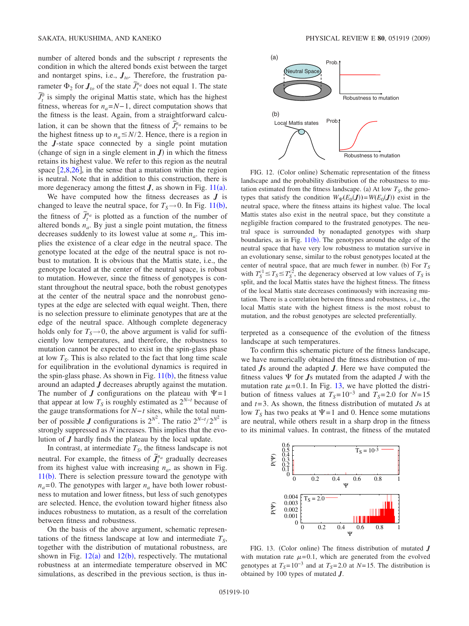number of altered bonds and the subscript *t* represents the condition in which the altered bonds exist between the target and nontarget spins, i.e., *Jto*. Therefore, the frustration parameter  $\Phi_2$  for  $J_{to}$  of the state  $\widetilde{J}_t^{n_a}$  does not equal 1. The state  $\widetilde{J}_t^0$  is simply the original Mattis state, which has the highest fitness, whereas for  $n_a = N-1$ , direct computation shows that the fitness is the least. Again, from a straightforward calculation, it can be shown that the fitness of  $\widetilde{J}_t^{n_a}$  remains to be the highest fitness up to  $n_a \leq N/2$ . Hence, there is a region in the *J*-state space connected by a single point mutation (change of sign in a single element in  $J$ ) in which the fitness retains its highest value. We refer to this region as the neutral space  $\lceil 2,8,26 \rceil$  $\lceil 2,8,26 \rceil$  $\lceil 2,8,26 \rceil$  $\lceil 2,8,26 \rceil$  $\lceil 2,8,26 \rceil$ , in the sense that a mutation within the region is neutral. Note that in addition to this construction, there is more degeneracy among the fittest  $J$ , as shown in Fig. [11](#page-8-3)(a).

We have computed how the fitness decreases as *J* is changed to leave the neutral space, for  $T_s \rightarrow 0$ . In Fig. [11](#page-8-3)(b), the fitness of  $\tilde{J}_t^{n_a}$  is plotted as a function of the number of altered bonds  $n_a$ . By just a single point mutation, the fitness decreases suddenly to its lowest value at some  $n_a$ . This implies the existence of a clear edge in the neutral space. The genotype located at the edge of the neutral space is not robust to mutation. It is obvious that the Mattis state, i.e., the genotype located at the center of the neutral space, is robust to mutation. However, since the fitness of genotypes is constant throughout the neutral space, both the robust genotypes at the center of the neutral space and the nonrobust genotypes at the edge are selected with equal weight. Then, there is no selection pressure to eliminate genotypes that are at the edge of the neutral space. Although complete degeneracy holds only for  $T_s \rightarrow 0$ , the above argument is valid for sufficiently low temperatures, and therefore, the robustness to mutation cannot be expected to exist in the spin-glass phase at low  $T<sub>S</sub>$ . This is also related to the fact that long time scale for equilibration in the evolutional dynamics is required in the spin-glass phase. As shown in Fig.  $11(b)$  $11(b)$ , the fitness value around an adapted *J* decreases abruptly against the mutation. The number of *J* configurations on the plateau with  $\Psi = 1$ that appear at low  $T<sub>S</sub>$  is roughly estimated as  $2<sup>N-t</sup>$  because of the gauge transformations for *N*−*t* sites, while the total number of possible *J* configurations is  $2^{N^2}$ . The ratio  $2^{N-t}/2^{N^2}$  is strongly suppressed as *N* increases. This implies that the evolution of *J* hardly finds the plateau by the local update.

In contrast, at intermediate  $T<sub>S</sub>$ , the fitness landscape is not in contrast, at intermediate  $\tau_3$ , the fitness tandscape is not<br>neutral. For example, the fitness of  $\tilde{J}_i^{n_a}$  gradually decreases from its highest value with increasing  $n_a$ , as shown in Fig.  $11(b)$  $11(b)$ . There is selection pressure toward the genotype with  $n_a$ =0. The genotypes with larger  $n_a$  have both lower robustness to mutation and lower fitness, but less of such genotypes are selected. Hence, the evolution toward higher fitness also induces robustness to mutation, as a result of the correlation between fitness and robustness.

On the basis of the above argument, schematic representations of the fitness landscape at low and intermediate  $T<sub>s</sub>$ , together with the distribution of mutational robustness, are shown in Fig.  $12(a)$  $12(a)$  and  $12(b)$ , respectively. The mutational robustness at an intermediate temperature observed in MC simulations, as described in the previous section, is thus in-

<span id="page-9-0"></span>

FIG. 12. (Color online) Schematic representation of the fitness landscape and the probability distribution of the robustness to mutation estimated from the fitness landscape. (a) At low  $T<sub>S</sub>$ , the genotypes that satisfy the condition  $W_{\Psi}(E_0(\boldsymbol{J})) = W(E_0(\boldsymbol{J}))$  exist in the neutral space, where the fitness attains its highest value. The local Mattis states also exist in the neutral space, but they constitute a negligible fraction compared to the frustrated genotypes. The neutral space is surrounded by nonadapted genotypes with sharp boundaries, as in Fig.  $11(b)$  $11(b)$ . The genotypes around the edge of the neutral space that have very low robustness to mutation survive in an evolutionary sense, similar to the robust genotypes located at the center of neutral space, that are much fewer in number. (b) For  $T<sub>S</sub>$ with  $T_S^{c1} \le T_S \le T_S^{c2}$ , the degeneracy observed at low values of  $T_S$  is split, and the local Mattis states have the highest fitness. The fitness of the local Mattis state decreases continuously with increasing mutation. There is a correlation between fitness and robustness, i.e., the local Mattis state with the highest fitness is the most robust to mutation, and the robust genotypes are selected preferentially.

terpreted as a consequence of the evolution of the fitness landscape at such temperatures.

To confirm this schematic picture of the fitness landscape, we have numerically obtained the fitness distribution of mutated *J*s around the adapted *J*. Here we have computed the fitness values  $\Psi$  for  $Js$  mutated from the adapted  $J$  with the mutation rate  $\mu$ =0.1. In Fig. [13,](#page-9-1) we have plotted the distribution of fitness values at  $T_s = 10^{-3}$  and  $T_s = 2.0$  for  $N = 15$ and *t*=3. As shown, the fitness distribution of mutated *J*s at low  $T<sub>S</sub>$  has two peaks at  $\Psi$  = 1 and 0. Hence some mutations are neutral, while others result in a sharp drop in the fitness to its minimal values. In contrast, the fitness of the mutated

<span id="page-9-1"></span>

FIG. 13. (Color online) The fitness distribution of mutated *J* with mutation rate  $\mu$ =0.1, which are generated from the evolved genotypes at  $T_s = 10^{-3}$  and at  $T_s = 2.0$  at  $N = 15$ . The distribution is obtained by 100 types of mutated *J*.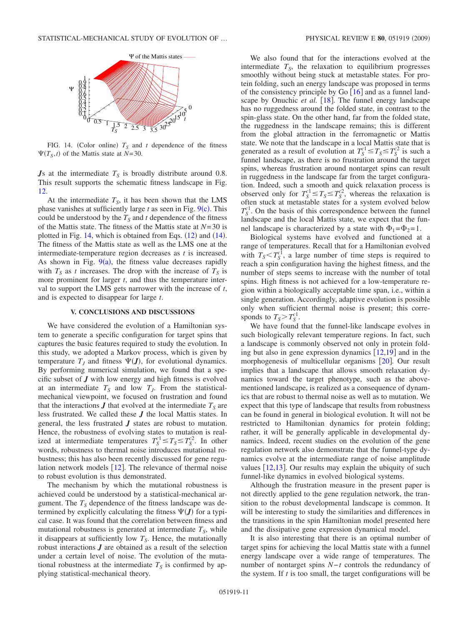<span id="page-10-1"></span>

FIG. 14. (Color online)  $T<sub>S</sub>$  and *t* dependence of the fitness  $\Psi(T_S, t)$  of the Mattis state at *N*=30.

*Js* at the intermediate  $T<sub>S</sub>$  is broadly distribute around 0.8. This result supports the schematic fitness landscape in Fig. [12.](#page-9-0)

At the intermediate  $T<sub>S</sub>$ , it has been shown that the LMS phase vanishes at sufficiently large  $t$  as seen in Fig.  $9(c)$  $9(c)$ . This could be understood by the  $T<sub>S</sub>$  and *t* dependence of the fitness of the Mattis state. The fitness of the Mattis state at *N*=30 is plotted in Fig.  $14$ , which is obtained from Eqs.  $(12)$  $(12)$  $(12)$  and  $(14)$ . The fitness of the Mattis state as well as the LMS one at the intermediate-temperature region decreases as *t* is increased. As shown in Fig.  $9(a)$  $9(a)$ , the fitness value decreases rapidly with  $T<sub>S</sub>$  as *t* increases. The drop with the increase of  $T<sub>S</sub>$  is more prominent for larger *t*, and thus the temperature interval to support the LMS gets narrower with the increase of *t*, and is expected to disappear for large *t*.

#### **V. CONCLUSIONS AND DISCUSSIONS**

<span id="page-10-0"></span>We have considered the evolution of a Hamiltonian system to generate a specific configuration for target spins that captures the basic features required to study the evolution. In this study, we adopted a Markov process, which is given by temperature  $T_J$  and fitness  $\Psi(J)$ , for evolutional dynamics. By performing numerical simulation, we found that a specific subset of *J* with low energy and high fitness is evolved at an intermediate  $T<sub>S</sub>$  and low  $T<sub>J</sub>$ . From the statisticalmechanical viewpoint, we focused on frustration and found that the interactions  $J$  that evolved at the intermediate  $T_S$  are less frustrated. We called these *J* the local Mattis states. In general, the less frustrated *J* states are robust to mutation. Hence, the robustness of evolving states to mutation is realized at intermediate temperatures  $T_S^{c1} \le T_S \le T_S^c$ . In other words, robustness to thermal noise introduces mutational robustness; this has also been recently discussed for gene regulation network models  $[12]$  $[12]$  $[12]$ . The relevance of thermal noise to robust evolution is thus demonstrated.

The mechanism by which the mutational robustness is achieved could be understood by a statistical-mechanical argument. The  $T<sub>S</sub>$  dependence of the fitness landscape was determined by explicitly calculating the fitness  $\Psi(\bm{J})$  for a typical case. It was found that the correlation between fitness and mutational robustness is generated at intermediate  $T<sub>S</sub>$ , while it disappears at sufficiently low  $T<sub>S</sub>$ . Hence, the mutationally robust interactions *J* are obtained as a result of the selection under a certain level of noise. The evolution of the mutational robustness at the intermediate  $T<sub>S</sub>$  is confirmed by applying statistical-mechanical theory.

We also found that for the interactions evolved at the intermediate  $T<sub>s</sub>$ , the relaxation to equilibrium progresses smoothly without being stuck at metastable states. For protein folding, such an energy landscape was proposed in terms of the consistency principle by Go  $\lceil 16 \rceil$  $\lceil 16 \rceil$  $\lceil 16 \rceil$  and as a funnel landscape by Onuchic *et al.* [[18](#page-11-11)]. The funnel energy landscape has no ruggedness around the folded state, in contrast to the spin-glass state. On the other hand, far from the folded state, the ruggedness in the landscape remains; this is different from the global attraction in the ferromagnetic or Mattis state. We note that the landscape in a local Mattis state that is generated as a result of evolution at  $T_S^{c1} \le T_S \le T_S^c$  is such a funnel landscape, as there is no frustration around the target spins, whereas frustration around nontarget spins can result in ruggedness in the landscape far from the target configuration. Indeed, such a smooth and quick relaxation process is observed only for  $T_S^{c1} \le T_S \le T_S^2$ , whereas the relaxation is often stuck at metastable states for a system evolved below  $T_S^{c1}$ . On the basis of this correspondence between the funnel landscape and the local Mattis state, we expect that the funnel landscape is characterized by a state with  $\Phi_1 = \Phi_2 = 1$ .

Biological systems have evolved and functioned at a range of temperatures. Recall that for a Hamiltonian evolved with  $T_s < T_s^{c1}$ , a large number of time steps is required to reach a spin configuration having the highest fitness, and the number of steps seems to increase with the number of total spins. High fitness is not achieved for a low-temperature region within a biologically acceptable time span, i.e., within a single generation. Accordingly, adaptive evolution is possible only when sufficient thermal noise is present; this corresponds to  $T_S > T_S^{c1}$ .

We have found that the funnel-like landscape evolves in such biologically relevant temperature regions. In fact, such a landscape is commonly observed not only in protein folding but also in gene expression dynamics  $[12,19]$  $[12,19]$  $[12,19]$  $[12,19]$  and in the morphogenesis of multicellular organisms  $[20]$  $[20]$  $[20]$ . Our result implies that a landscape that allows smooth relaxation dynamics toward the target phenotype, such as the abovementioned landscape, is realized as a consequence of dynamics that are robust to thermal noise as well as to mutation. We expect that this type of landscape that results from robustness can be found in general in biological evolution. It will not be restricted to Hamiltonian dynamics for protein folding; rather, it will be generally applicable in developmental dynamics. Indeed, recent studies on the evolution of the gene regulation network also demonstrate that the funnel-type dynamics evolve at the intermediate range of noise amplitude values  $[12,13]$  $[12,13]$  $[12,13]$  $[12,13]$ . Our results may explain the ubiquity of such funnel-like dynamics in evolved biological systems.

Although the frustration measure in the present paper is not directly applied to the gene regulation network, the transition to the robust developmental landscape is common. It will be interesting to study the similarities and differences in the transitions in the spin Hamiltonian model presented here and the dissipative gene expression dynamical model.

It is also interesting that there is an optimal number of target spins for achieving the local Mattis state with a funnel energy landscape over a wide range of temperatures. The number of nontarget spins *N*−*t* controls the redundancy of the system. If *t* is too small, the target configurations will be